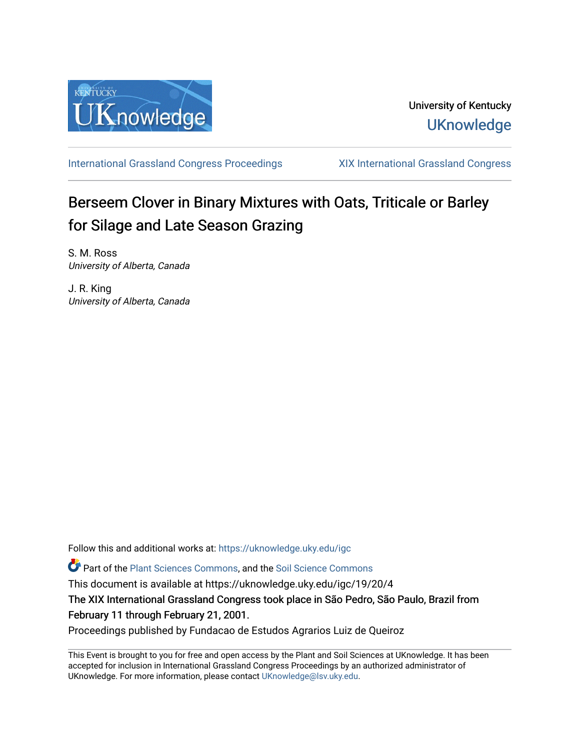

[International Grassland Congress Proceedings](https://uknowledge.uky.edu/igc) [XIX International Grassland Congress](https://uknowledge.uky.edu/igc/19) 

# Berseem Clover in Binary Mixtures with Oats, Triticale or Barley for Silage and Late Season Grazing

S. M. Ross University of Alberta, Canada

J. R. King University of Alberta, Canada

Follow this and additional works at: [https://uknowledge.uky.edu/igc](https://uknowledge.uky.edu/igc?utm_source=uknowledge.uky.edu%2Figc%2F19%2F20%2F4&utm_medium=PDF&utm_campaign=PDFCoverPages) 

Part of the [Plant Sciences Commons](http://network.bepress.com/hgg/discipline/102?utm_source=uknowledge.uky.edu%2Figc%2F19%2F20%2F4&utm_medium=PDF&utm_campaign=PDFCoverPages), and the [Soil Science Commons](http://network.bepress.com/hgg/discipline/163?utm_source=uknowledge.uky.edu%2Figc%2F19%2F20%2F4&utm_medium=PDF&utm_campaign=PDFCoverPages) 

This document is available at https://uknowledge.uky.edu/igc/19/20/4

The XIX International Grassland Congress took place in São Pedro, São Paulo, Brazil from February 11 through February 21, 2001.

Proceedings published by Fundacao de Estudos Agrarios Luiz de Queiroz

This Event is brought to you for free and open access by the Plant and Soil Sciences at UKnowledge. It has been accepted for inclusion in International Grassland Congress Proceedings by an authorized administrator of UKnowledge. For more information, please contact [UKnowledge@lsv.uky.edu](mailto:UKnowledge@lsv.uky.edu).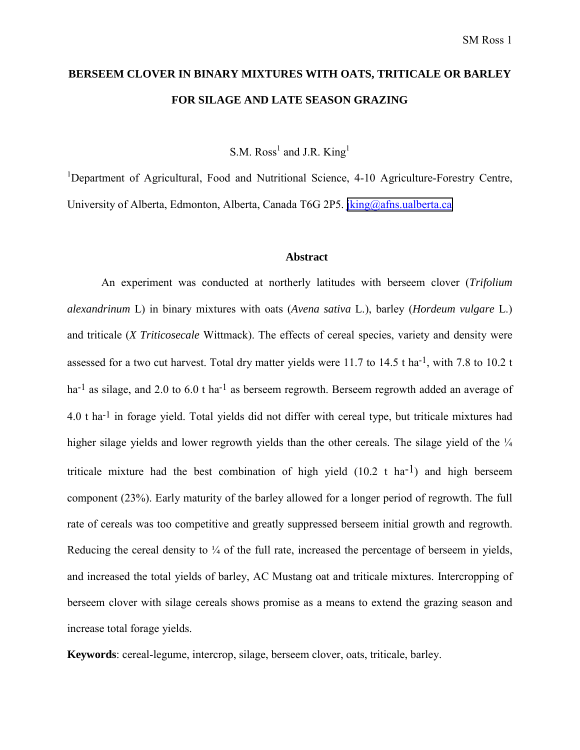## **BERSEEM CLOVER IN BINARY MIXTURES WITH OATS, TRITICALE OR BARLEY FOR SILAGE AND LATE SEASON GRAZING**

S.M. Ross<sup>1</sup> and J.R. King<sup>1</sup>

<sup>1</sup>Department of Agricultural, Food and Nutritional Science, 4-10 Agriculture-Forestry Centre, University of Alberta, Edmonton, Alberta, Canada T6G 2P5. [jking@afns.ualberta.ca](mailto:jking@afns.ualberta.ca)

#### **Abstract**

An experiment was conducted at northerly latitudes with berseem clover (*Trifolium alexandrinum* L) in binary mixtures with oats (*Avena sativa* L.), barley (*Hordeum vulgare* L.) and triticale (*X Triticosecale* Wittmack). The effects of cereal species, variety and density were assessed for a two cut harvest. Total dry matter yields were 11.7 to 14.5 t ha-1, with 7.8 to 10.2 t ha<sup>-1</sup> as silage, and 2.0 to 6.0 t ha<sup>-1</sup> as berseem regrowth. Berseem regrowth added an average of 4.0 t ha-1 in forage yield. Total yields did not differ with cereal type, but triticale mixtures had higher silage yields and lower regrowth yields than the other cereals. The silage yield of the  $\frac{1}{4}$ triticale mixture had the best combination of high yield  $(10.2 \text{ t} \text{ ha}^{-1})$  and high berseem component (23%). Early maturity of the barley allowed for a longer period of regrowth. The full rate of cereals was too competitive and greatly suppressed berseem initial growth and regrowth. Reducing the cereal density to  $\frac{1}{4}$  of the full rate, increased the percentage of berseem in yields, and increased the total yields of barley, AC Mustang oat and triticale mixtures. Intercropping of berseem clover with silage cereals shows promise as a means to extend the grazing season and increase total forage yields.

**Keywords**: cereal-legume, intercrop, silage, berseem clover, oats, triticale, barley.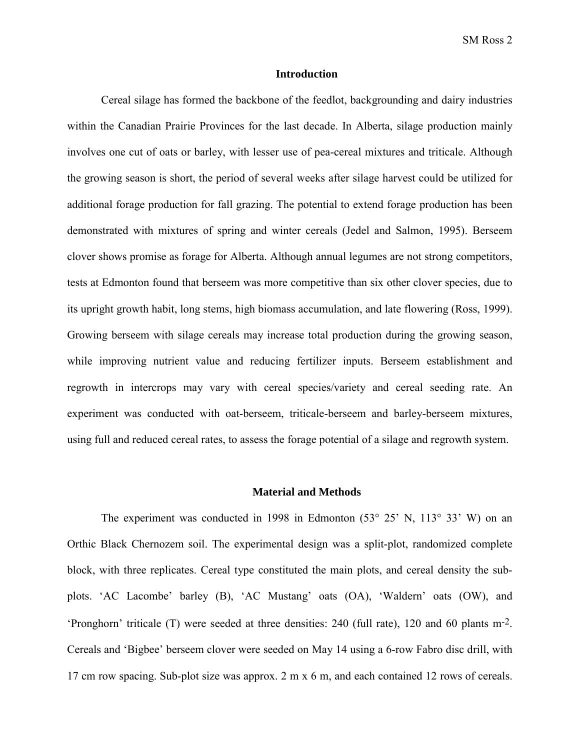### **Introduction**

Cereal silage has formed the backbone of the feedlot, backgrounding and dairy industries within the Canadian Prairie Provinces for the last decade. In Alberta, silage production mainly involves one cut of oats or barley, with lesser use of pea-cereal mixtures and triticale. Although the growing season is short, the period of several weeks after silage harvest could be utilized for additional forage production for fall grazing. The potential to extend forage production has been demonstrated with mixtures of spring and winter cereals (Jedel and Salmon, 1995). Berseem clover shows promise as forage for Alberta. Although annual legumes are not strong competitors, tests at Edmonton found that berseem was more competitive than six other clover species, due to its upright growth habit, long stems, high biomass accumulation, and late flowering (Ross, 1999). Growing berseem with silage cereals may increase total production during the growing season, while improving nutrient value and reducing fertilizer inputs. Berseem establishment and regrowth in intercrops may vary with cereal species/variety and cereal seeding rate. An experiment was conducted with oat-berseem, triticale-berseem and barley-berseem mixtures, using full and reduced cereal rates, to assess the forage potential of a silage and regrowth system.

## **Material and Methods**

The experiment was conducted in 1998 in Edmonton  $(53^{\circ} 25^{\circ} N, 113^{\circ} 33^{\circ} W)$  on an Orthic Black Chernozem soil. The experimental design was a split-plot, randomized complete block, with three replicates. Cereal type constituted the main plots, and cereal density the subplots. 'AC Lacombe' barley (B), 'AC Mustang' oats (OA), 'Waldern' oats (OW), and 'Pronghorn' triticale (T) were seeded at three densities:  $240$  (full rate), 120 and 60 plants m<sup>-2</sup>. Cereals and 'Bigbee' berseem clover were seeded on May 14 using a 6-row Fabro disc drill, with 17 cm row spacing. Sub-plot size was approx. 2 m x 6 m, and each contained 12 rows of cereals.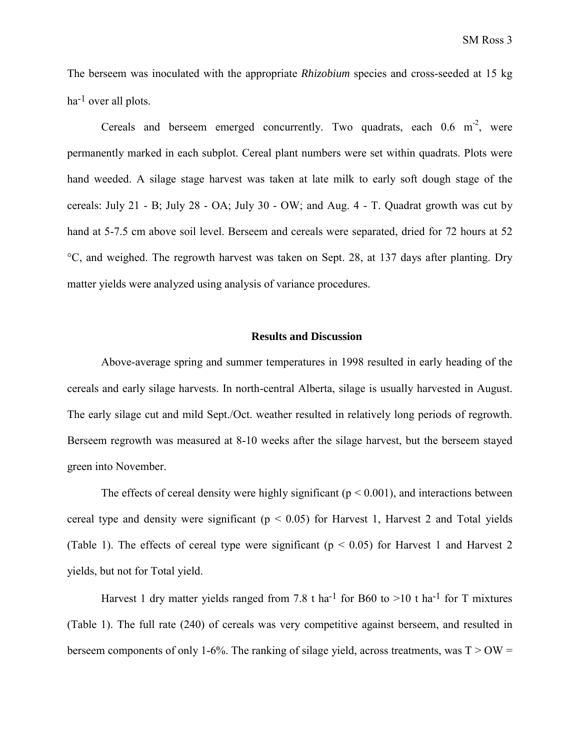The berseem was inoculated with the appropriate *Rhizobium* species and cross-seeded at 15 kg ha<sup>-1</sup> over all plots.

Cereals and berseem emerged concurrently. Two quadrats, each  $0.6 \text{ m}^2$ , were permanently marked in each subplot. Cereal plant numbers were set within quadrats. Plots were hand weeded. A silage stage harvest was taken at late milk to early soft dough stage of the cereals: July 21 - B; July 28 - OA; July 30 - OW; and Aug. 4 - T. Quadrat growth was cut by hand at 5-7.5 cm above soil level. Berseem and cereals were separated, dried for 72 hours at 52 °C, and weighed. The regrowth harvest was taken on Sept. 28, at 137 days after planting. Dry matter yields were analyzed using analysis of variance procedures.

### **Results and Discussion**

Above-average spring and summer temperatures in 1998 resulted in early heading of the cereals and early silage harvests. In north-central Alberta, silage is usually harvested in August. The early silage cut and mild Sept./Oct. weather resulted in relatively long periods of regrowth. Berseem regrowth was measured at 8-10 weeks after the silage harvest, but the berseem stayed green into November.

The effects of cereal density were highly significant ( $p < 0.001$ ), and interactions between cereal type and density were significant ( $p < 0.05$ ) for Harvest 1, Harvest 2 and Total yields (Table 1). The effects of cereal type were significant ( $p < 0.05$ ) for Harvest 1 and Harvest 2 yields, but not for Total yield.

Harvest 1 dry matter yields ranged from 7.8 t ha<sup>-1</sup> for B60 to  $>10$  t ha<sup>-1</sup> for T mixtures (Table 1). The full rate (240) of cereals was very competitive against berseem, and resulted in berseem components of only 1-6%. The ranking of silage yield, across treatments, was  $T > OW =$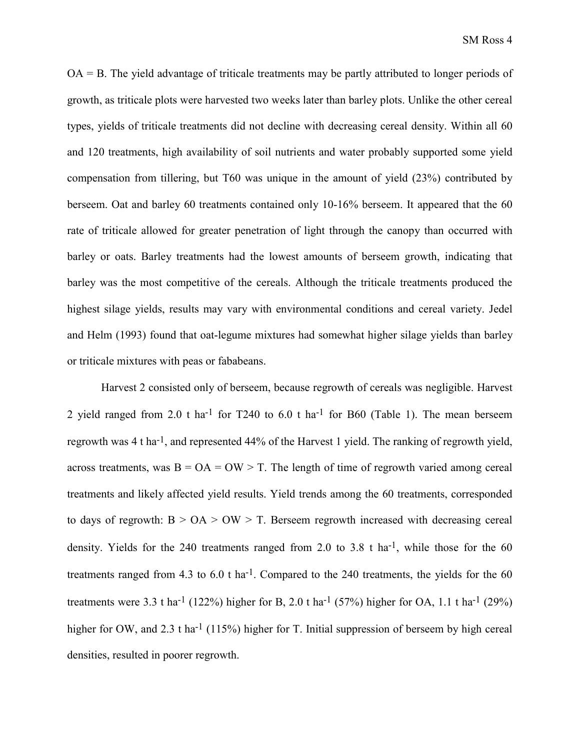OA = B. The yield advantage of triticale treatments may be partly attributed to longer periods of growth, as triticale plots were harvested two weeks later than barley plots. Unlike the other cereal types, yields of triticale treatments did not decline with decreasing cereal density. Within all 60 and 120 treatments, high availability of soil nutrients and water probably supported some yield compensation from tillering, but T60 was unique in the amount of yield (23%) contributed by berseem. Oat and barley 60 treatments contained only 10-16% berseem. It appeared that the 60 rate of triticale allowed for greater penetration of light through the canopy than occurred with barley or oats. Barley treatments had the lowest amounts of berseem growth, indicating that barley was the most competitive of the cereals. Although the triticale treatments produced the highest silage yields, results may vary with environmental conditions and cereal variety. Jedel and Helm (1993) found that oat-legume mixtures had somewhat higher silage yields than barley or triticale mixtures with peas or fababeans.

Harvest 2 consisted only of berseem, because regrowth of cereals was negligible. Harvest 2 yield ranged from 2.0 t ha<sup>-1</sup> for T240 to 6.0 t ha<sup>-1</sup> for B60 (Table 1). The mean berseem regrowth was 4 t ha-1, and represented 44% of the Harvest 1 yield. The ranking of regrowth yield, across treatments, was  $B = OA = OW > T$ . The length of time of regrowth varied among cereal treatments and likely affected yield results. Yield trends among the 60 treatments, corresponded to days of regrowth:  $B > OA > OW > T$ . Berseem regrowth increased with decreasing cereal density. Yields for the 240 treatments ranged from 2.0 to 3.8 t ha<sup>-1</sup>, while those for the 60 treatments ranged from 4.3 to  $6.0$  t ha<sup>-1</sup>. Compared to the 240 treatments, the yields for the  $60$ treatments were 3.3 t ha<sup>-1</sup> (122%) higher for B, 2.0 t ha<sup>-1</sup> (57%) higher for OA, 1.1 t ha<sup>-1</sup> (29%) higher for OW, and 2.3 t ha<sup>-1</sup> (115%) higher for T. Initial suppression of berseem by high cereal densities, resulted in poorer regrowth.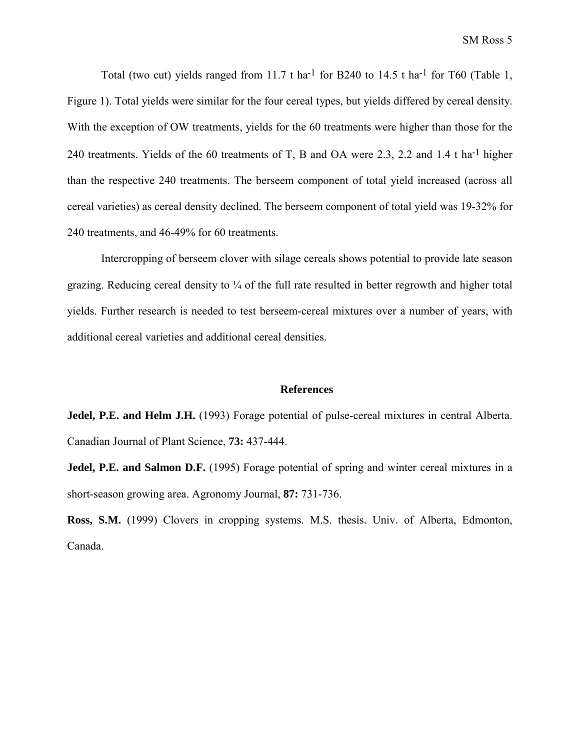Total (two cut) yields ranged from 11.7 t ha<sup>-1</sup> for B240 to 14.5 t ha<sup>-1</sup> for T60 (Table 1, Figure 1). Total yields were similar for the four cereal types, but yields differed by cereal density. With the exception of OW treatments, yields for the 60 treatments were higher than those for the 240 treatments. Yields of the 60 treatments of T, B and OA were 2.3, 2.2 and 1.4 t ha-1 higher than the respective 240 treatments. The berseem component of total yield increased (across all cereal varieties) as cereal density declined. The berseem component of total yield was 19-32% for 240 treatments, and 46-49% for 60 treatments.

Intercropping of berseem clover with silage cereals shows potential to provide late season grazing. Reducing cereal density to  $\frac{1}{4}$  of the full rate resulted in better regrowth and higher total yields. Further research is needed to test berseem-cereal mixtures over a number of years, with additional cereal varieties and additional cereal densities.

#### **References**

**Jedel, P.E. and Helm J.H.** (1993) Forage potential of pulse-cereal mixtures in central Alberta. Canadian Journal of Plant Science, **73:** 437-444.

**Jedel, P.E. and Salmon D.F.** (1995) Forage potential of spring and winter cereal mixtures in a short-season growing area. Agronomy Journal, **87:** 731-736.

**Ross, S.M.** (1999) Clovers in cropping systems. M.S. thesis. Univ. of Alberta, Edmonton, Canada.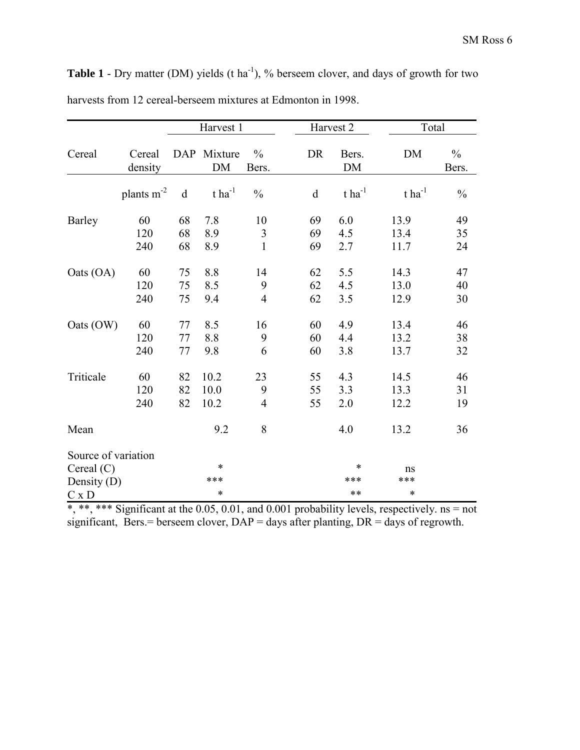|                                                      |                   | Harvest 1      |                          |                        |                | Harvest 2            | Total                |                        |
|------------------------------------------------------|-------------------|----------------|--------------------------|------------------------|----------------|----------------------|----------------------|------------------------|
| Cereal                                               | Cereal<br>density |                | DAP Mixture<br><b>DM</b> | $\frac{0}{0}$<br>Bers. | <b>DR</b>      | Bers.<br>DM          | <b>DM</b>            | $\frac{0}{0}$<br>Bers. |
|                                                      | plants $m^{-2}$   | $\rm d$        | $t$ ha <sup>-1</sup>     | $\frac{0}{0}$          | $\mathbf d$    | $t$ ha <sup>-1</sup> | $t$ ha <sup>-1</sup> | $\frac{0}{0}$          |
| Barley                                               | 60                | 68             | 7.8                      | 10                     | 69             | 6.0                  | 13.9                 | 49                     |
|                                                      | 120<br>240        | 68<br>68       | 8.9<br>8.9               | 3<br>$\mathbf{1}$      | 69<br>69       | 4.5<br>2.7           | 13.4<br>11.7         | 35<br>24               |
| Oats (OA)                                            | 60                | 75             | 8.8                      | 14                     | 62             | 5.5                  | 14.3                 | 47                     |
|                                                      | 120<br>240        | 75<br>75       | 8.5<br>9.4               | 9<br>$\overline{4}$    | 62<br>62       | 4.5<br>3.5           | 13.0<br>12.9         | 40<br>30               |
| Oats (OW)                                            | 60                | 77             | 8.5                      | 16                     | 60             | 4.9                  | 13.4                 | 46                     |
|                                                      | 120<br>240        | 77<br>77       | 8.8<br>9.8               | 9<br>6                 | 60<br>60       | 4.4<br>3.8           | 13.2<br>13.7         | 38<br>32               |
| Triticale                                            | 60<br>120<br>240  | 82<br>82<br>82 | 10.2<br>10.0<br>10.2     | 23<br>9<br>4           | 55<br>55<br>55 | 4.3<br>3.3<br>2.0    | 14.5<br>13.3<br>12.2 | 46<br>31<br>19         |
| Mean                                                 |                   |                | 9.2                      | 8                      |                | 4.0                  | 13.2                 | 36                     |
| Source of variation<br>Cereal $(C)$<br>Density $(D)$ |                   |                | $\ast$<br>***            |                        |                | *<br>***             | ns<br>***            |                        |
| $C \times D$                                         |                   |                | $\ast$                   |                        |                | $***$                | *                    |                        |

**Table 1** - Dry matter (DM) yields (t ha<sup>-1</sup>), % berseem clover, and days of growth for two harvests from 12 cereal-berseem mixtures at Edmonton in 1998.

\*, \*\*, \*\*\* Significant at the 0.05, 0.01, and 0.001 probability levels, respectively. ns = not significant, Bers.= berseem clover,  $DAP =$  days after planting,  $DR =$  days of regrowth.